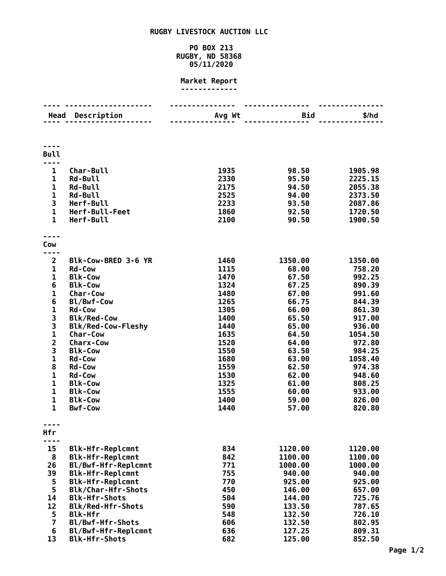## **RUGBY LIVESTOCK AUCTION LLC**

## **PO BOX 213 RUGBY, ND 58368 05/11/2020**

## **Market Report -------------**

| Head                    | Description                      | Avg Wt       | <b>Bid</b>     | \$/hd            |
|-------------------------|----------------------------------|--------------|----------------|------------------|
|                         |                                  |              |                |                  |
|                         |                                  |              |                |                  |
|                         |                                  |              |                |                  |
| <b>Bull</b>             |                                  |              |                |                  |
|                         |                                  |              |                |                  |
| $\mathbf{1}$            | Char-Bull                        | 1935         | 98.50          | 1905.98          |
| 1                       | <b>Rd-Bull</b>                   | 2330         | 95.50          | 2225.15          |
| 1                       | <b>Rd-Bull</b>                   | 2175         | 94.50          | 2055.38          |
| 1                       | <b>Rd-Bull</b>                   | 2525         | 94.00          | 2373.50          |
| 3                       | Herf-Bull                        | 2233         | 93.50          | 2087.86          |
| $\mathbf{1}$            | Herf-Bull-Feet                   | 1860         | 92.50          | 1720.50          |
| $\mathbf{1}$            | Herf-Bull                        | 2100         | 90.50          | 1900.50          |
|                         |                                  |              |                |                  |
| Cow                     |                                  |              |                |                  |
|                         |                                  |              |                |                  |
| 2                       | Blk-Cow-BRED 3-6 YR              | 1460         | 1350.00        | 1350.00          |
| $\mathbf{1}$            | <b>Rd-Cow</b>                    | 1115         | 68.00          | 758.20           |
| 1                       | <b>Blk-Cow</b>                   | 1470         | 67.50          | 992.25           |
| 6                       | <b>Blk-Cow</b>                   | 1324         | 67.25          | 890.39           |
| 1                       | <b>Char-Cow</b>                  | 1480         | 67.00          | 991.60           |
| 6                       | Bl/Bwf-Cow                       | 1265         | 66.75          | 844.39           |
| 1                       | <b>Rd-Cow</b>                    | 1305         | 66.00          | 861.30           |
| 3                       | <b>Blk/Red-Cow</b>               | 1400         | 65.50          | 917.00           |
| 3                       | <b>Blk/Red-Cow-Fleshy</b>        | 1440         | 65.00          | 936.00           |
| $\mathbf{1}$            | <b>Char-Cow</b>                  | 1635         | 64.50          | 1054.50          |
| $\overline{\mathbf{2}}$ | <b>Charx-Cow</b>                 | 1520         | 64.00          | 972.80           |
| 3                       | <b>Blk-Cow</b>                   | 1550         | 63.50          | 984.25           |
| $\mathbf 1$             | <b>Rd-Cow</b>                    | 1680         | 63.00          | 1058.40          |
| 8                       | <b>Rd-Cow</b>                    | 1559         | 62.50          | 974.38           |
| 1                       | <b>Rd-Cow</b>                    | 1530         | 62.00          | 948.60           |
| 1                       | <b>Blk-Cow</b>                   | 1325         | 61.00          | 808.25           |
| 1                       | <b>Blk-Cow</b>                   | 1555         | 60.00          | 933.00           |
| $\mathbf{1}$<br>1       | <b>Blk-Cow</b><br><b>Bwf-Cow</b> | 1400<br>1440 | 59.00<br>57.00 | 826.00<br>820.80 |
|                         |                                  |              |                |                  |
| Hfr                     |                                  |              |                |                  |
|                         |                                  |              |                |                  |
| 15                      | <b>Blk-Hfr-Replcmnt</b>          | 834          | 1120.00        | 1120.00          |
| 8                       | <b>Blk-Hfr-Replcmnt</b>          | 842          | 1100.00        | 1100.00          |
| 26                      | Bl/Bwf-Hfr-Replcmnt              | 771          | 1000.00        | 1000.00          |
| 39                      | <b>Blk-Hfr-Replcmnt</b>          | 755          | 940.00         | 940.00           |
| 5                       | <b>Blk-Hfr-Replcmnt</b>          | 770          | 925.00         | 925.00           |
| 5                       | <b>Blk/Char-Hfr-Shots</b>        | 450          | 146.00         | 657.00           |
| 14                      | <b>Blk-Hfr-Shots</b>             | 504          | 144.00         | 725.76           |
| 12                      | <b>Blk/Red-Hfr-Shots</b>         | 590          | 133.50         | 787.65           |
| 5                       | <b>Blk-Hfr</b>                   | 548          | 132.50         | 726.10           |
| $\overline{\mathbf{z}}$ | Bl/Bwf-Hfr-Shots                 | 606          | 132.50         | 802.95           |
| 6                       | Bl/Bwf-Hfr-Replcmnt              | 636          | 127.25         | 809.31           |
| 13                      | <b>Blk-Hfr-Shots</b>             | 682          | 125.00         | 852.50           |